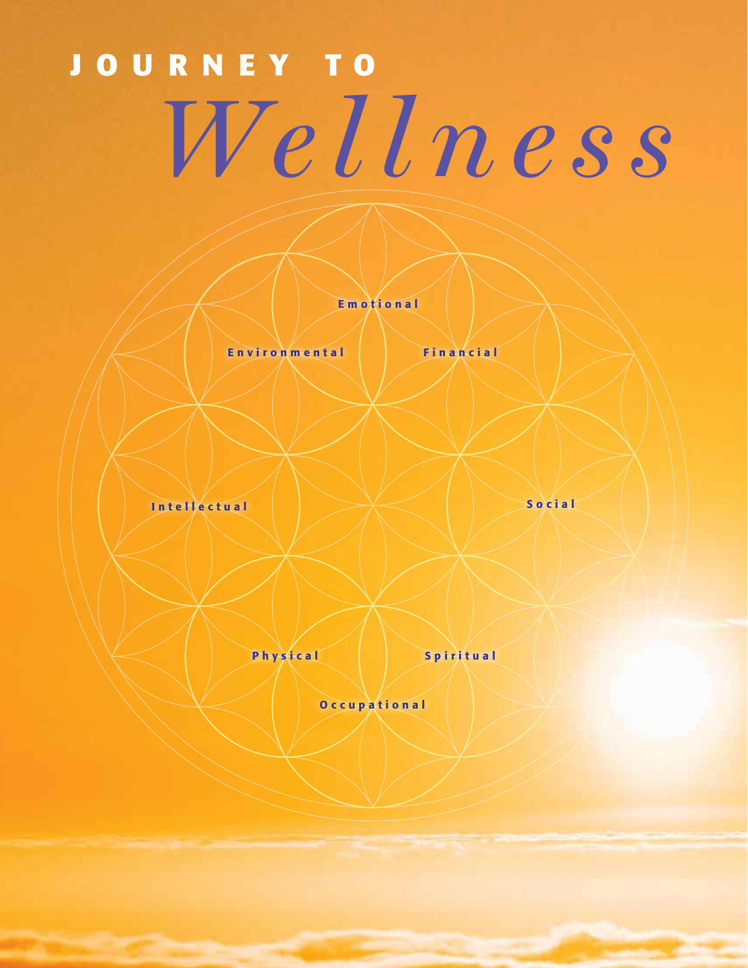# **JOURNEY TO** *Wellness*

Emotional

Environmental Financial

Intellectual

Social

Physical

Spiritual

Occupational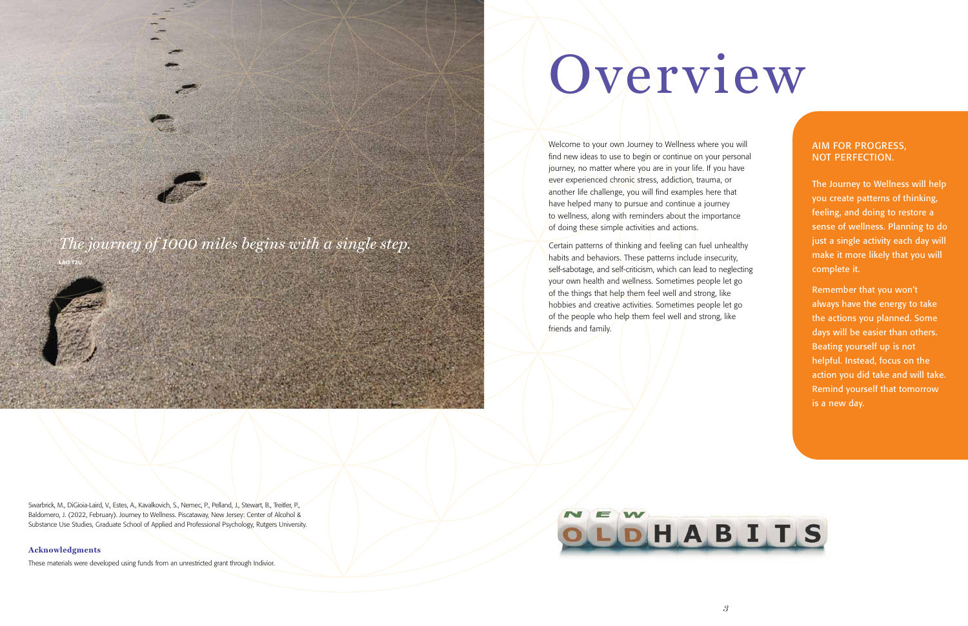Certain patterns of thinking and feeling can fuel unhealthy habits and behaviors. These patterns include insecurity, self-sabotage, and self-criticism, which can lead to neglecting your own health and wellness. Sometimes people let go of the things that help them feel well and strong, like hobbies and creative activities. Sometimes people let go of the people who help them feel well and strong, like friends and family.



# Overview

Welcome to your own Journey to Wellness where you will find new ideas to use to begin or continue on your personal journey, no matter where you are in your life. If you have ever experienced chronic stress, addiction, trauma, or another life challenge, you will find examples here that have helped many to pursue and continue a journey to wellness, along with reminders about the importance of doing these simple activities and actions.



#### AIM FOR PROGRESS, NOT PERFECTION.

The Journey to Wellness will help you create patterns of thinking, feeling, and doing to restore a sense of wellness. Planning to do just a single activity each day will make it more likely that you will complete it.

Remember that you won't always have the energy to take the actions you planned. Some days will be easier than others. Beating yourself up is not helpful. Instead, focus on the action you did take and will take. Remind yourself that tomorrow is a new day.

Swarbrick, M., DiGioia-Laird, V., Estes, A., Kavalkovich, S., Nemec, P., Pelland, J., Stewart, B., Treitler, P., Baldomero, J. (2022, February). Journey to Wellness. Piscataway, New Jersey: Center of Alcohol & Substance Use Studies, Graduate School of Applied and Professional Psychology, Rutgers University.

#### **Acknowledgments**

These materials were developed using funds from an unrestricted grant through Indivior.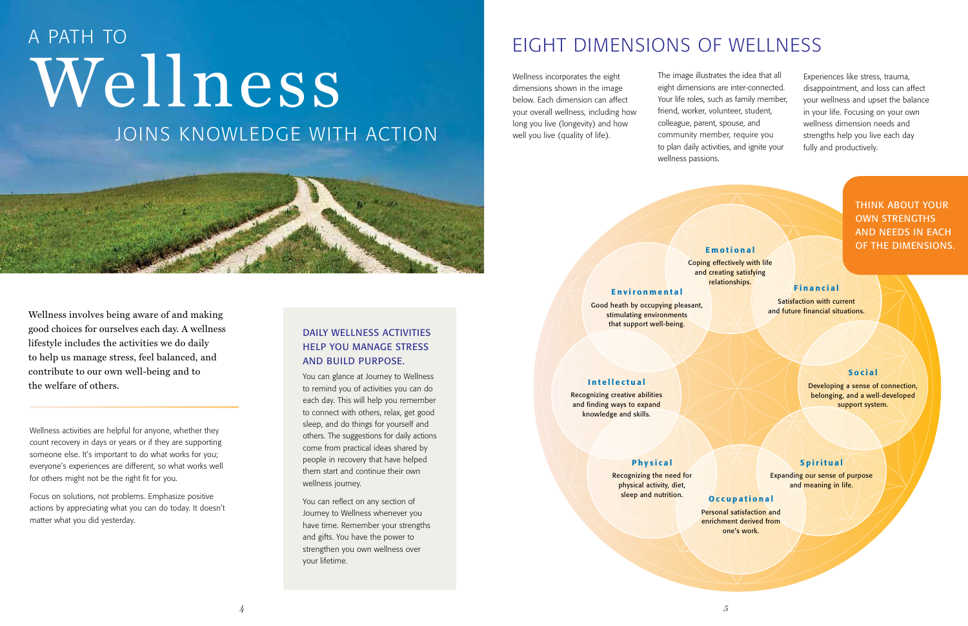Wellness activities are helpful for anyone, whether they count recovery in days or years or if they are supporting someone else. It's important to do what works for you; everyone's experiences are different, so what works well for others might not be the right fit for you.

Focus on solutions, not problems. Emphasize positive actions by appreciating what you can do today. It doesn't matter what you did yesterday.

dimensions shown in the image below. Each dimension can affect your overall wellness, including how long you live (longevity) and how well you live (quality of life).

## EIGHT DIMENSIONS OF WELLNESS

Recognizing the need for physical activity, diet, sleep and nutrition. Occupational

The image illustrates the idea that all eight dimensions are inter-connected. Your life roles, such as family member, friend, worker, volunteer, student, colleague, parent, spouse, and community member, require you to plan daily activities, and ignite your wellness passions.



THINK ABOUT YOUR OWN STRENGTHS AND NEEDS IN EACH OF THE DIMENSIONS.

#### Intellectual

Recognizing creative abilities and finding ways to expand knowledge and skills.

#### Emotional

# Wellness incorporates the eight<br>dimensions shown in the image<br>below. Each dimension can affe JOINS KNOWLEDGE WITH ACTION A PATH TO

Coping effectively with life and creating satisfying relationships.

#### Environmental

Good heath by occupying pleasant, stimulating environments that support well-being.

#### Physical

Personal satisfaction and enrichment derived from one's work.

#### Spiritual

Expanding our sense of purpose and meaning in life.

#### Financial

Satisfaction with current and future financial situations.

#### Social

Developing a sense of connection, belonging, and a well-developed support system.

Experiences like stress, trauma, disappointment, and loss can affect your wellness and upset the balance in your life. Focusing on your own wellness dimension needs and strengths help you live each day fully and productively.

#### DAILY WELLNESS ACTIVITIES HELP YOU MANAGE STRESS AND BUILD PURPOSE.

You can glance at Journey to Wellness to remind you of activities you can do each day. This will help you remember to connect with others, relax, get good sleep, and do things for yourself and others. The suggestions for daily actions come from practical ideas shared by people in recovery that have helped them start and continue their own wellness journey.

You can reflect on any section of Journey to Wellness whenever you have time. Remember your strengths and gifts. You have the power to strengthen you own wellness over your lifetime.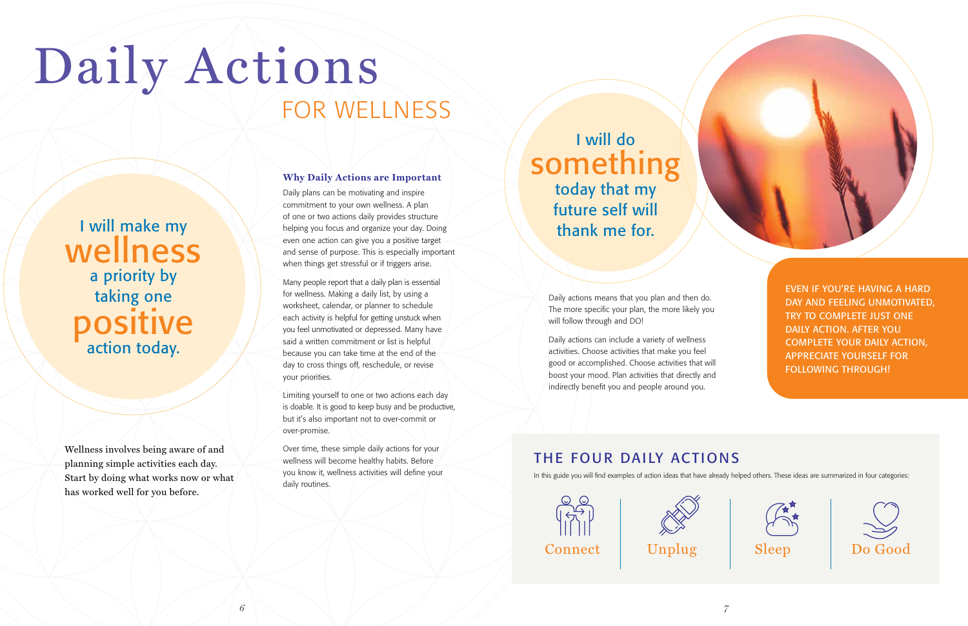Daily actions means that you plan and then do. The more specific your plan, the more likely you will follow through and DO!

Daily actions can include a variety of wellness activities. Choose activities that make you feel good or accomplished. Choose activities that will boost your mood. Plan activities that directly and indirectly benefit you and people around you.

commitment to your own wellness. A plan of one or two actions daily provides structure helping you focus and organize your day. Doing even one action can give you a positive target and sense of purpose. This is especially important when things get stressful or if triggers arise. I will make my belping you focus and organize your day. Doing<br>
I will make my helping you focus and organize your day. Doing<br>
thank me for.

Wellness involves being aware of and planning simple activities each day. Start by doing what works now or what has worked well for you before.



**Why Daily Actions are Important**

### Daily plans can be motivating and inspire

# Daily Actions FOR WELLNESS

Many people report that a daily plan is essential for wellness. Making a daily list, by using a worksheet, calendar, or planner to schedule each activity is helpful for getting unstuck when you feel unmotivated or depressed. Many have said a written commitment or list is helpful because you can take time at the end of the day to cross things off, reschedule, or revise your priorities.

Limiting yourself to one or two actions each day is doable. It is good to keep busy and be productive, but it's also important not to over-commit or over-promise.

Over time, these simple daily actions for your wellness will become healthy habits. Before you know it, wellness activities will define your daily routines.

## I will do something today that my future self will

wellness a priority by taking one positive action today.

EVEN IF YOU'RE HAVING A HARD DAY AND FEELING UNMOTIVATED, TRY TO COMPLETE JUST ONE DAILY ACTION. AFTER YOU COMPLETE YOUR DAILY ACTION, APPRECIATE YOURSELF FOR FOLLOWING THROUGH!



#### THE FOUR DAILY ACTIONS

In this guide you will find examples of action ideas that have already helped others. These ideas are summarized in four categories:







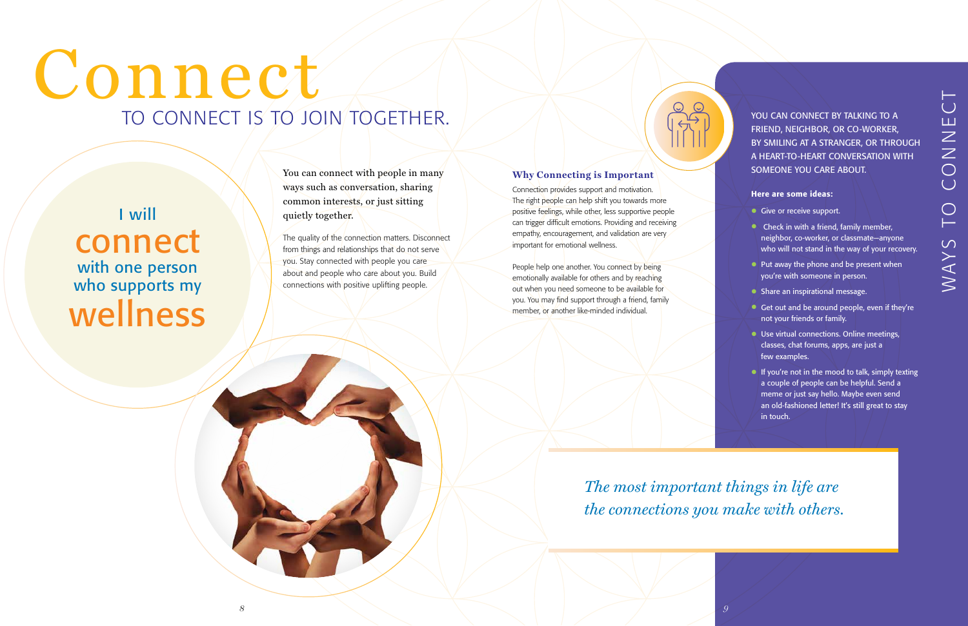The quality of the connection matters. Disconnect from things and relationships that do not serve you. Stay connected with people you care about and people who care about you. Build connections with positive uplifting people.

#### **Why Connecting is Important**

Connection provides support and motivation. The right people can help shift you towards more positive feelings, while other, less supportive people can trigger difficult emotions. Providing and receiving empathy, encouragement, and validation are very important for emotional wellness.

YOU CAN CONNECT BY TALKING TO A FRIEND, NEIGHBOR, OR CO-WORKER, BY SMILING AT A STRANGER, OR THROUGH A HEART-TO-HEART CONVERSATION WITH SOMEONE YOU CARE ABOUT.

People help one another. You connect by being emotionally available for others and by reaching out when you need someone to be available for you. You may find support through a friend, family member, or another like-minded individual.

- Give or receive support.
- Check in with a friend, family member, neighbor, co-worker, or classmate—anyone who will not stand in the way of your recovery.
- Put away the phone and be present when you're with someone in person.
- Share an inspirational message.
- Get out and be around people, even if they're not your friends or family.
- **Use virtual connections. Online meetings,** classes, chat forums, apps, are just a few examples.
- If you're not in the mood to talk, simply texting a couple of people can be helpful. Send a meme or just say hello. Maybe even send an old-fashioned letter! It's still great to stay in touch.

## I will connect with one person who supports my wellness

#### Here are some ideas:

# Connect TO CONNECT IS TO JOIN TOGETHER.

*The most important things in life are the connections you make with others.*

*8 9*

You can connect with people in many ways such as conversation, sharing common interests, or just sitting quietly together.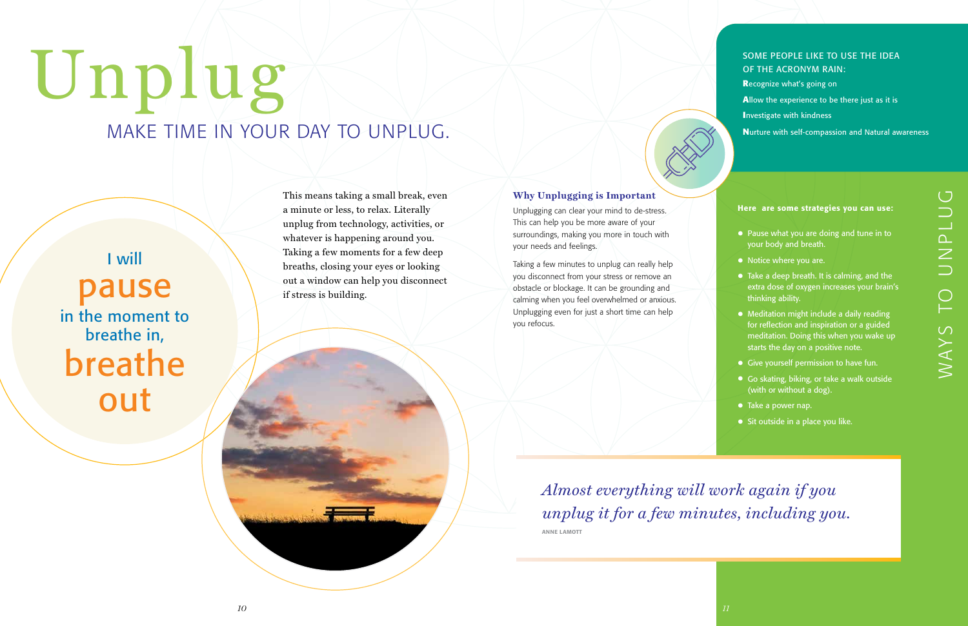This means taking a small break, even a minute or less, to relax. Literally unplug from technology, activities, or whatever is happening around you. Taking a few moments for a few deep breaths, closing your eyes or looking out a window can help you disconnect if stress is building.

#### **Why Unplugging is Important**

Unplugging can clear your mind to de-stress. This can help you be more aware of your surroundings, making you more in touch with your needs and feelings.

Taking a few minutes to unplug can really help you disconnect from your stress or remove an obstacle or blockage. It can be grounding and calming when you feel overwhelmed or anxious. Unplugging even for just a short time can help you refocus.

> *Almost everything will work again if you unplug it for a few minutes, including you.*

ANNE LAMOTT

I will pause in the moment to breathe in, breathe out

#### SOME PEOPLE LIKE TO USE THE IDEA OF THE ACRONYM RAIN: **R**ecognize what's going on **A**llow the experience to be there just as it is **I**nvestigate with kindness

# Unplug MAKE TIME IN YOUR DAY TO UNPLUG.

**N**urture with self-compassion and Natural awareness

#### Here are some strategies you can use:

- Pause what you are doing and tune in to your body and breath.
- Notice where you are.
- Take a deep breath. It is calming, and the extra dose of oxygen increases your brain's thinking ability.
- Meditation might include a daily reading for reflection and inspiration or a guided meditation. Doing this when you wake up starts the day on a positive note.
- Give yourself permission to have fun.
- Go skating, biking, or take a walk outside (with or without a dog).
- Take a power nap.
- Sit outside in a place you like.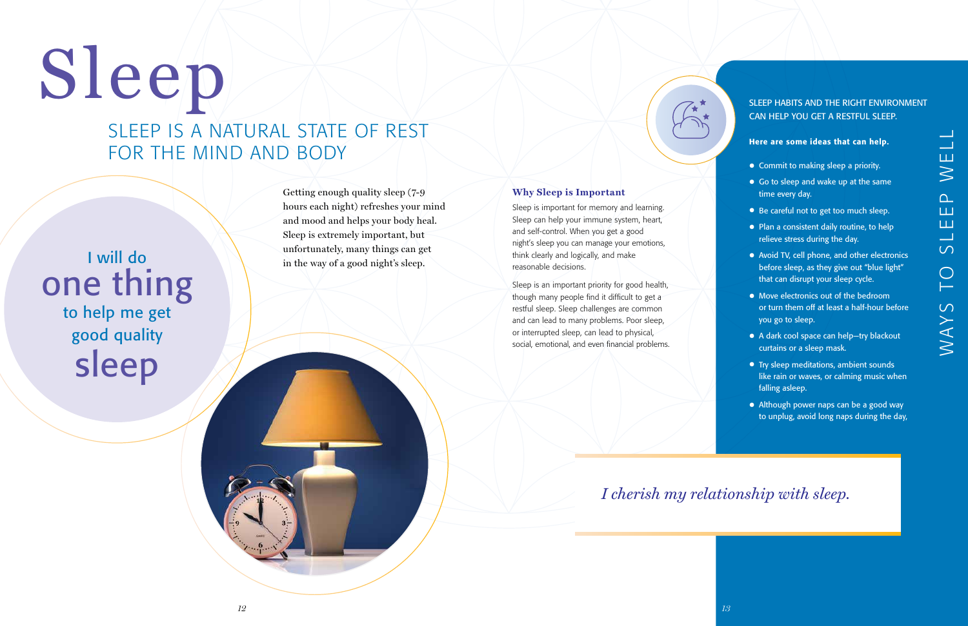## I will do one thing to help me get good quality sleep

# Sleep

Getting enough quality sleep (7-9 hours each night) refreshes your mind and mood and helps your body heal. Sleep is extremely important, but unfortunately, many things can get in the way of a good night's sleep.

#### **Why Sleep is Important**

Sleep is important for memory and learning. Sleep can help your immune system, heart, and self-control. When you get a good night's sleep you can manage your emotions, think clearly and logically, and make reasonable decisions.

Sleep is an important priority for good health, though many people find it difficult to get a restful sleep. Sleep challenges are common and can lead to many problems. Poor sleep, or interrupted sleep, can lead to physical, social, emotional, and even financial problems.

#### SLEEP HABITS AND THE RIGHT ENVIRONMENT CAN HELP YOU GET A RESTFUL SLEEP.

#### Here are some ideas that can help.

- Commit to making sleep a priority.
- Go to sleep and wake up at the same time every day.
- Be careful not to get too much sleep.
- Plan a consistent daily routine, to help relieve stress during the day.
- Avoid TV, cell phone, and other electronics before sleep, as they give out "blue light" that can disrupt your sleep cycle.
- Move electronics out of the bedroom or turn them off at least a half-hour before you go to sleep.
- A dark cool space can help—try blackout curtains or a sleep mask.
- Try sleep meditations, ambient sounds like rain or waves, or calming music when falling asleep.
- Although power naps can be a good way to unplug, avoid long naps during the day,

*I cherish my relationship with sleep.*

## SLEEP IS A NATURAL STATE OF REST FOR THE MIND AND BODY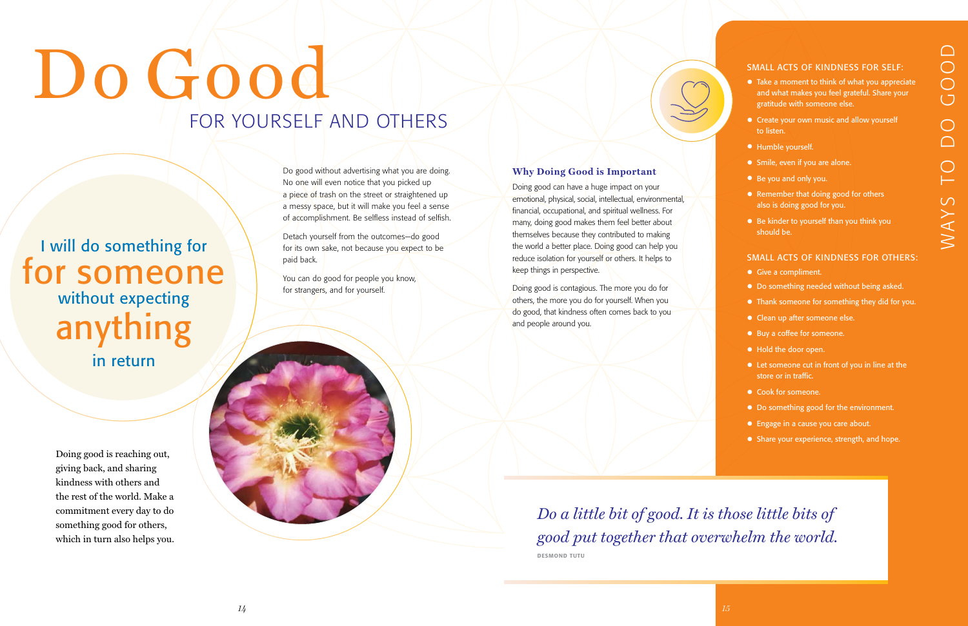Do good without advertising what you are doing. No one will even notice that you picked up a piece of trash on the street or straightened up a messy space, but it will make you feel a sense of accomplishment. Be selfless instead of selfish.

You can do good for people you know, for strangers, and for yourself.

Detach yourself from the outcomes—do good for its own sake, not because you expect to be paid back.

#### **Why Doing Good is Important**

- Give a compliment.
- Do something needed without being asked.
- Thank someone for something they did for you.
- Clean up after someone else.
- Buy a coffee for someone.
- Hold the door open.
- Let someone cut in front of you in line at the store or in traffic.
- Cook for someone.
- Do something good for the environment.
- Engage in a cause you care about.
- Share your experience, strength, and hope.

Doing good can have a huge impact on your emotional, physical, social, intellectual, environmental, financial, occupational, and spiritual wellness. For many, doing good makes them feel better about themselves because they contributed to making the world a better place. Doing good can help you reduce isolation for yourself or others. It helps to keep things in perspective.

Doing good is contagious. The more you do for others, the more you do for yourself. When you do good, that kindness often comes back to you and people around you.

# Do Good FOR YOURSELF AND OTHERS

#### SMALL ACTS OF KINDNESS FOR OTHERS:

#### SMALL ACTS OF KINDNESS FOR SELF:

- Take a moment to think of what you appreciate and what makes you feel grateful. Share your gratitude with someone else.
- Create your own music and allow yourself to listen.
- Humble yourself.
- Smile, even if you are alone.
- Be you and only you.
- Remember that doing good for others also is doing good for you.
- Be kinder to yourself than you think you should be.

## I will do something for for someone without expecting anything in return

Doing good is reaching out, giving back, and sharing kindness with others and the rest of the world. Make a commitment every day to do something good for others, which in turn also helps you.

*Do a little bit of good. It is those little bits of good put together that overwhelm the world.*

DESMOND TUTU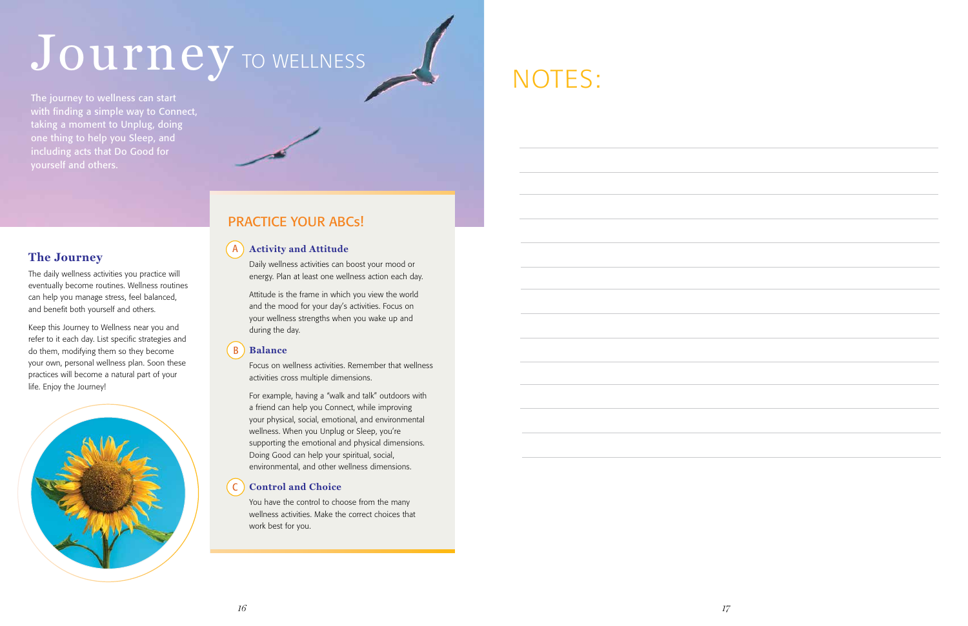#### **The Journey**

The daily wellness activities you practice will eventually become routines. Wellness routines can help you manage stress, feel balanced, and benefit both yourself and others.

## Journey TO WELLNESS

Keep this Journey to Wellness near you and refer to it each day. List specific strategies and do them, modifying them so they become your own, personal wellness plan. Soon these practices will become a natural part of your life. Enjoy the Journey!



## NOTES:

The journey to wellness can start with finding a simple way to Connect, taking a moment to Unplug, doing one thing to help you Sleep, and including acts that Do Good for yourself and others.

Daily wellness activities can boost your mood or energy. Plan at least one wellness action each day.

Attitude is the frame in which you view the world and the mood for your day's activities. Focus on your wellness strengths when you wake up and during the day.

Focus on wellness activities. Remember that wellness activities cross multiple dimensions.

For example, having a "walk and talk" outdoors with a friend can help you Connect, while improving your physical, social, emotional, and environmental wellness. When you Unplug or Sleep, you're supporting the emotional and physical dimensions. Doing Good can help your spiritual, social, environmental, and other wellness dimensions.

#### **Balance** B

You have the control to choose from the many wellness activities. Make the correct choices that work best for you.

#### **Control and Choice** C

#### PRACTICE YOUR ABCs!

#### **A** ) Activity and Attitude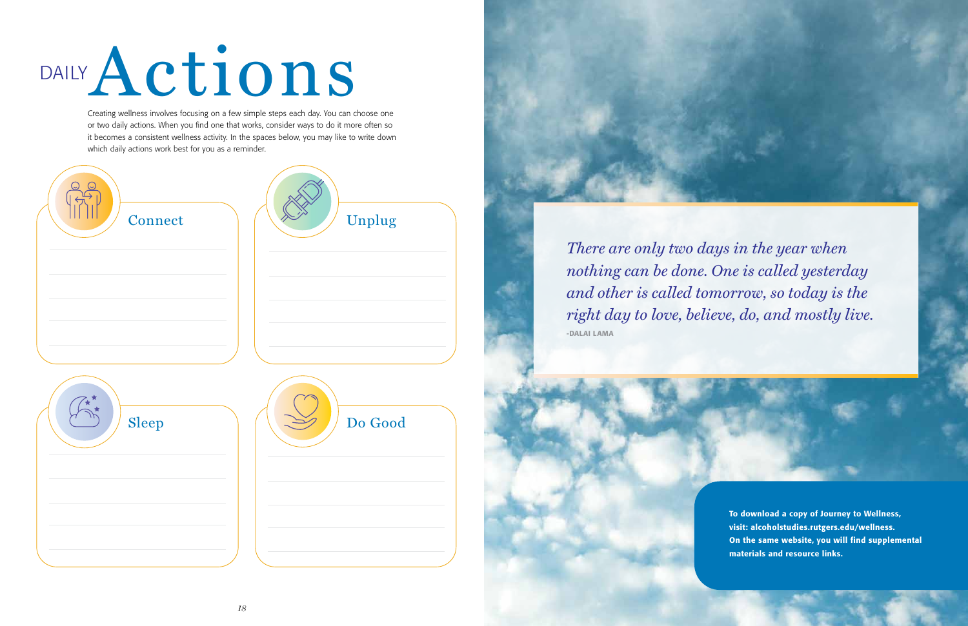*There are only two days in the year when nothing can be done. One is called yesterday and other is called tomorrow, so today is the right day to love, believe, do, and mostly live.* -DALAI LAMA



# Actions DAILY

Creating wellness involves focusing on a few simple steps each day. You can choose one or two daily actions. When you find one that works, consider ways to do it more often so it becomes a consistent wellness activity. In the spaces below, you may like to write down which daily actions work best for you as a reminder.



To download a copy of Journey to Wellness, visit: alcoholstudies.rutgers.edu/wellness. On the same website, you will find supplemental materials and resource links.